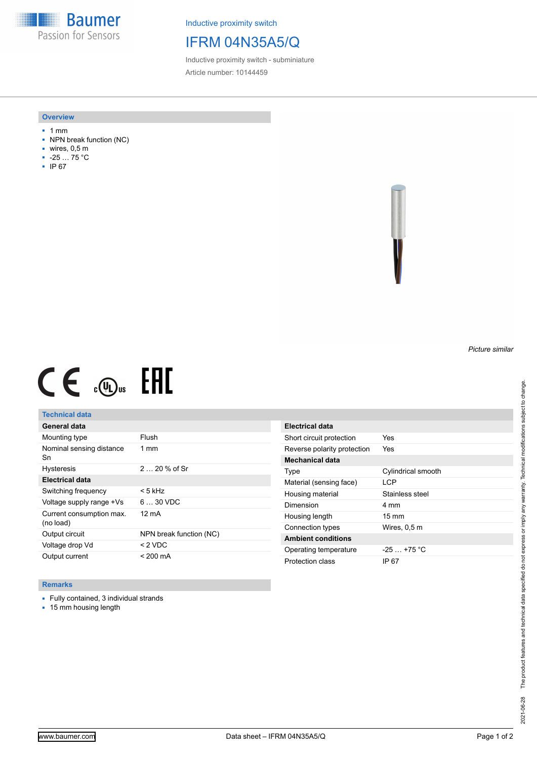**Baumer** Passion for Sensors

Inductive proximity switch

# IFRM 04N35A5/Q

Inductive proximity switch - subminiature Article number: 10144459

#### **Overview**

- 1 mm
- NPN break function (NC)
- wires, 0,5 m
- -25 … 75 °C
- IP 67



# $CE \mathcal{L}$  (Dus FRE

## **Technical data**

| General data                          |                         |
|---------------------------------------|-------------------------|
| Mounting type                         | Flush                   |
| Nominal sensing distance<br>Sn        | $1 \text{ mm}$          |
| <b>Hysteresis</b>                     | $220%$ of Sr            |
| Electrical data                       |                         |
| Switching frequency                   | < 5 kHz                 |
| Voltage supply range +Vs              | $630$ VDC               |
| Current consumption max.<br>(no load) | 12 mA                   |
| Output circuit                        | NPN break function (NC) |
| Voltage drop Vd                       | $<$ 2 VDC               |
| Output current                        | $< 200 \text{ mA}$      |

| Electrical data             |                    |
|-----------------------------|--------------------|
| Short circuit protection    | Yes                |
| Reverse polarity protection | Yes                |
| Mechanical data             |                    |
| Type                        | Cylindrical smooth |
| Material (sensing face)     | I CP               |
| Housing material            | Stainless steel    |
| Dimension                   | 4 mm               |
| Housing length              | $15 \text{ mm}$    |
| Connection types            | Wires, 0,5 m       |
| <b>Ambient conditions</b>   |                    |
| Operating temperature       | $-25 + 75$ °C      |
| Protection class            | IP 67              |

### **Remarks**

■ Fully contained, 3 individual strands

■ 15 mm housing length

*Picture similar*